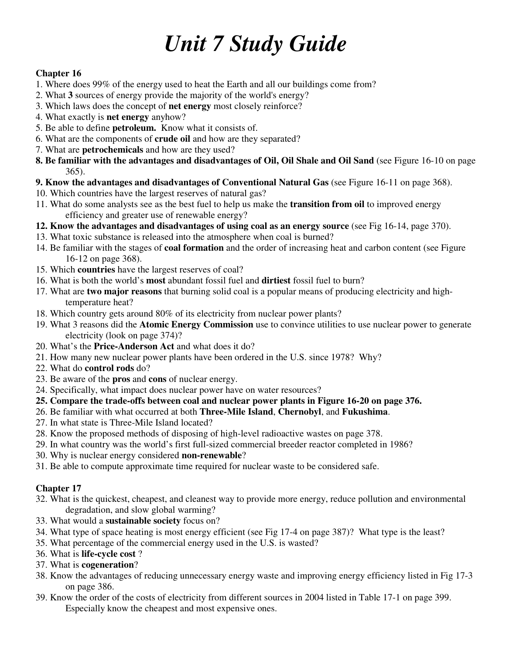## *Unit 7 Study Guide*

## **Chapter 16**

- 1. Where does 99% of the energy used to heat the Earth and all our buildings come from?
- 2. What **3** sources of energy provide the majority of the world's energy?
- 3. Which laws does the concept of **net energy** most closely reinforce?
- 4. What exactly is **net energy** anyhow?
- 5. Be able to define **petroleum.** Know what it consists of.
- 6. What are the components of **crude oil** and how are they separated?
- 7. What are **petrochemicals** and how are they used?
- **8. Be familiar with the advantages and disadvantages of Oil, Oil Shale and Oil Sand** (see Figure 16-10 on page 365).
- **9. Know the advantages and disadvantages of Conventional Natural Gas** (see Figure 16-11 on page 368).
- 10. Which countries have the largest reserves of natural gas?
- 11. What do some analysts see as the best fuel to help us make the **transition from oil** to improved energy efficiency and greater use of renewable energy?
- **12. Know the advantages and disadvantages of using coal as an energy source** (see Fig 16-14, page 370).
- 13. What toxic substance is released into the atmosphere when coal is burned?
- 14. Be familiar with the stages of **coal formation** and the order of increasing heat and carbon content (see Figure 16-12 on page 368).
- 15. Which **countries** have the largest reserves of coal?
- 16. What is both the world's **most** abundant fossil fuel and **dirtiest** fossil fuel to burn?
- 17. What are **two major reasons** that burning solid coal is a popular means of producing electricity and high temperature heat?
- 18. Which country gets around 80% of its electricity from nuclear power plants?
- 19. What 3 reasons did the **Atomic Energy Commission** use to convince utilities to use nuclear power to generate electricity (look on page 374)?
- 20. What's the **Price-Anderson Act** and what does it do?
- 21. How many new nuclear power plants have been ordered in the U.S. since 1978? Why?
- 22. What do **control rods** do?
- 23. Be aware of the **pros** and **cons** of nuclear energy.
- 24. Specifically, what impact does nuclear power have on water resources?
- **25. Compare the trade-offs between coal and nuclear power plants in Figure 16-20 on page 376.**
- 26. Be familiar with what occurred at both **Three-Mile Island**, **Chernobyl**, and **Fukushima**.
- 27. In what state is Three-Mile Island located?
- 28. Know the proposed methods of disposing of high-level radioactive wastes on page 378.
- 29. In what country was the world's first full-sized commercial breeder reactor completed in 1986?
- 30. Why is nuclear energy considered **non-renewable**?
- 31. Be able to compute approximate time required for nuclear waste to be considered safe.

## **Chapter 17**

- 32. What is the quickest, cheapest, and cleanest way to provide more energy, reduce pollution and environmental degradation, and slow global warming?
- 33. What would a **sustainable society** focus on?
- 34. What type of space heating is most energy efficient (see Fig 17-4 on page 387)? What type is the least?
- 35. What percentage of the commercial energy used in the U.S. is wasted?
- 36. What is **life-cycle cost** ?
- 37. What is **cogeneration**?
- 38. Know the advantages of reducing unnecessary energy waste and improving energy efficiency listed in Fig 17-3 on page 386.
- 39. Know the order of the costs of electricity from different sources in 2004 listed in Table 17-1 on page 399. Especially know the cheapest and most expensive ones.